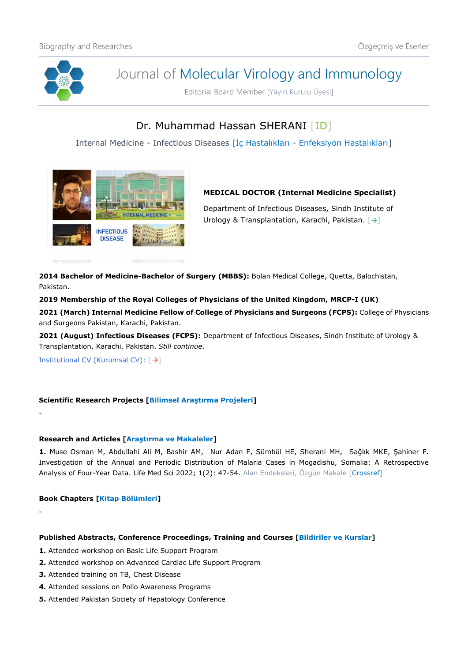

# Journal of Molecular Virology and Immunology

Editorial Board Member [Yayın Kurulu Üyesi]

## Dr. Muhammad Hassan SHERANI [\[ID\]](https://orcid.org/0000-0002-8502-3353)

Internal Medicine - Infectious Diseases [İç Hastalıkları - Enfeksiyon Hastalıkları]



### **MEDICAL DOCTOR (Internal Medicine Specialist)**

Department of Infectious Diseases, Sindh Institute of Urology & Transplantation, Karachi, Pakistan. [[→](https://www.udusok.edu.ng/faculty-of-basic-clinical-sciences/medical-microbiology-and-parasitology/)]

**2014 Bachelor of Medicine-Bachelor of Surgery (MBBS):** Bolan Medical College, Quetta, Balochistan, Pakistan.

**2019 Membership of the Royal Colleges of Physicians of the United Kingdom, MRCP-I (UK)**

**2021 (March) Internal Medicine Fellow of College of Physicians and Surgeons (FCPS):** College of Physicians and Surgeons Pakistan, Karachi, Pakistan.

**2021 (August) Infectious Diseases (FCPS):** Department of Infectious Diseases, Sindh Institute of Urology & Transplantation, Karachi, Pakistan. *Still continue*.

Institutional CV (Kurumsal CV): [→]

-

-

#### **Scientific Research Projects [Bilimsel Araştırma Projeleri]**

#### **Research and Articles [Araştırma ve Makaleler]**

**1.** Muse Osman M, Abdullahi Ali M, Bashir AM, Nur Adan F, Sümbül HE, Sherani MH, Sağlık MKE, Şahiner F. Investigation of the Annual and Periodic Distribution of Malaria Cases in Mogadishu, Somalia: A Retrospective Analysis of Four-Year Data. Life Med Sci 2022; 1(2): 47-54. Alan Endeksleri, Özgün Makale [\[Crossref\]](https://doi.org/10.54584/lms.2022.9)

#### **Book Chapters [Kitap Bölümleri]**

#### **Published Abstracts, Conference Proceedings, Training and Courses [Bildiriler ve Kurslar]**

- **1.** Attended workshop on Basic Life Support Program
- **2.** Attended workshop on Advanced Cardiac Life Support Program
- **3.** Attended training on TB, Chest Disease
- **4.** Attended sessions on Polio Awareness Programs
- **5.** Attended Pakistan Society of Hepatology Conference